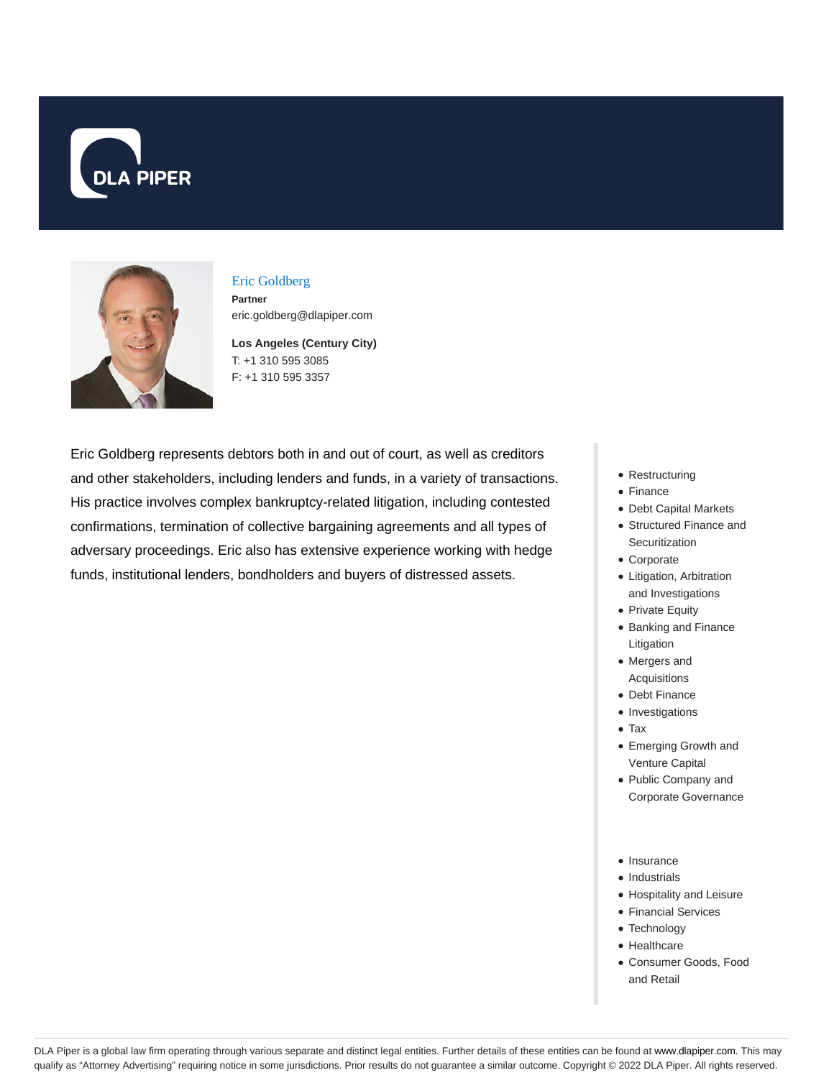



# Eric Goldberg

**Partner** eric.goldberg@dlapiper.com

**Los Angeles (Century City)** T: +1 310 595 3085 F: +1 310 595 3357

Eric Goldberg represents debtors both in and out of court, as well as creditors and other stakeholders, including lenders and funds, in a variety of transactions. His practice involves complex bankruptcy-related litigation, including contested confirmations, termination of collective bargaining agreements and all types of adversary proceedings. Eric also has extensive experience working with hedge funds, institutional lenders, bondholders and buyers of distressed assets.

- Restructuring
- Finance
- Debt Capital Markets
- Structured Finance and **Securitization**
- Corporate
- Litigation, Arbitration and Investigations
- Private Equity
- Banking and Finance Litigation
- Mergers and Acquisitions
- Debt Finance
- Investigations
- Tax
- Emerging Growth and Venture Capital
- Public Company and Corporate Governance
- Insurance
- Industrials
- Hospitality and Leisure
- Financial Services
- Technology
- Healthcare
- Consumer Goods, Food and Retail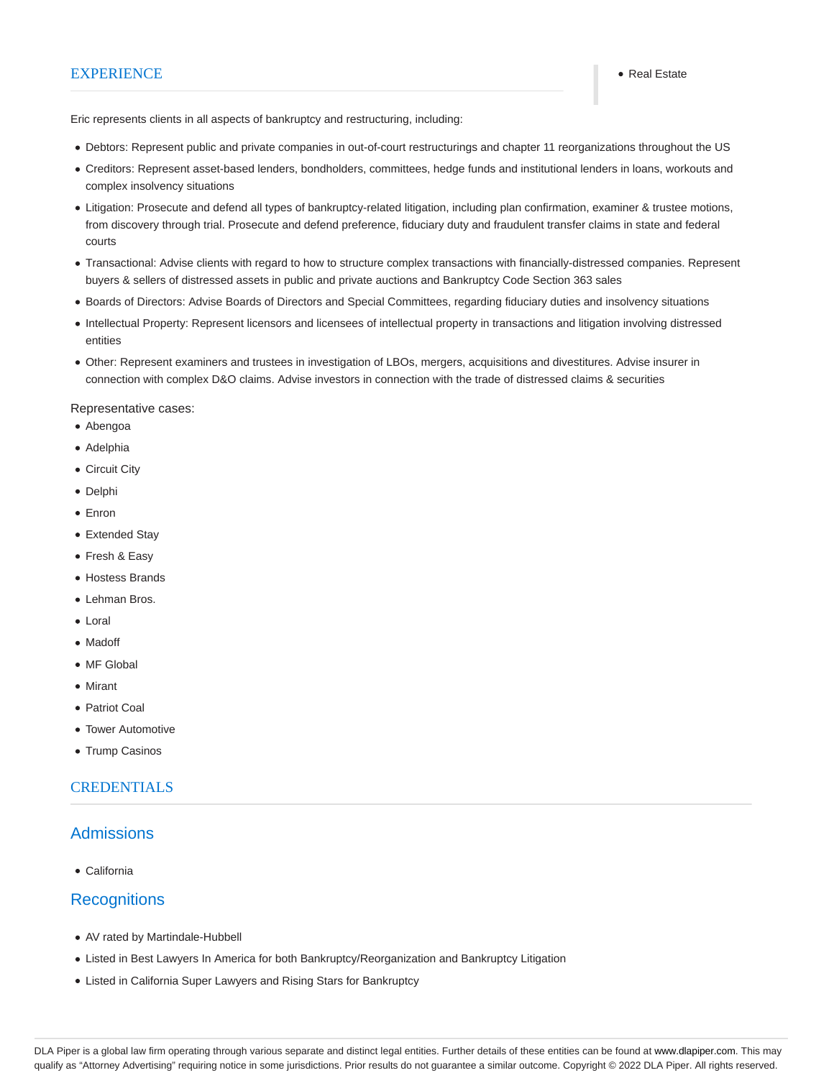#### EXPERIENCE **Real Estate**

Eric represents clients in all aspects of bankruptcy and restructuring, including:

- Debtors: Represent public and private companies in out-of-court restructurings and chapter 11 reorganizations throughout the US
- Creditors: Represent asset-based lenders, bondholders, committees, hedge funds and institutional lenders in loans, workouts and complex insolvency situations
- Litigation: Prosecute and defend all types of bankruptcy-related litigation, including plan confirmation, examiner & trustee motions, from discovery through trial. Prosecute and defend preference, fiduciary duty and fraudulent transfer claims in state and federal courts
- Transactional: Advise clients with regard to how to structure complex transactions with financially-distressed companies. Represent buyers & sellers of distressed assets in public and private auctions and Bankruptcy Code Section 363 sales
- Boards of Directors: Advise Boards of Directors and Special Committees, regarding fiduciary duties and insolvency situations
- Intellectual Property: Represent licensors and licensees of intellectual property in transactions and litigation involving distressed entities
- Other: Represent examiners and trustees in investigation of LBOs, mergers, acquisitions and divestitures. Advise insurer in connection with complex D&O claims. Advise investors in connection with the trade of distressed claims & securities

Representative cases:

- Abengoa
- Adelphia
- Circuit City
- Delphi
- Enron
- Extended Stay
- Fresh & Easy
- Hostess Brands
- Lehman Bros.
- Loral
- Madoff
- MF Global
- Mirant
- Patriot Coal
- Tower Automotive
- Trump Casinos

#### **CREDENTIALS**

#### **Admissions**

California

### **Recognitions**

- AV rated by Martindale-Hubbell
- Listed in Best Lawyers In America for both Bankruptcy/Reorganization and Bankruptcy Litigation
- Listed in California Super Lawyers and Rising Stars for Bankruptcy